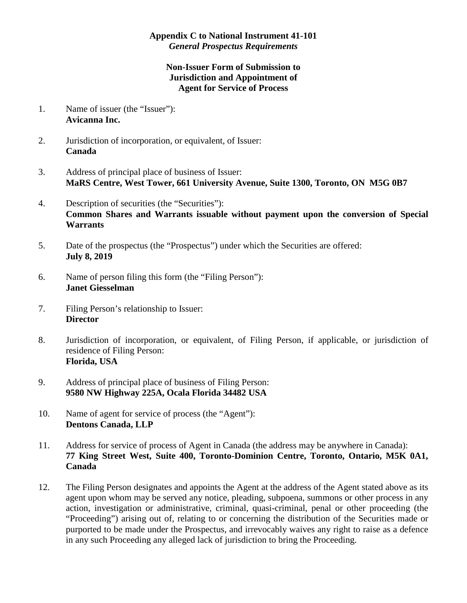## **Appendix C to National Instrument 41-101**  *General Prospectus Requirements*

## **Non-Issuer Form of Submission to Jurisdiction and Appointment of Agent for Service of Process**

- 1. Name of issuer (the "Issuer"): **Avicanna Inc.**
- 2. Jurisdiction of incorporation, or equivalent, of Issuer: **Canada**
- 3. Address of principal place of business of Issuer: **MaRS Centre, West Tower, 661 University Avenue, Suite 1300, Toronto, ON M5G 0B7**
- 4. Description of securities (the "Securities"): **Common Shares and Warrants issuable without payment upon the conversion of Special Warrants**
- 5. Date of the prospectus (the "Prospectus") under which the Securities are offered: **July 8, 2019**
- 6. Name of person filing this form (the "Filing Person"): **Janet Giesselman**
- 7. Filing Person's relationship to Issuer: **Director**
- 8. Jurisdiction of incorporation, or equivalent, of Filing Person, if applicable, or jurisdiction of residence of Filing Person: **Florida, USA**
- 9. Address of principal place of business of Filing Person: **9580 NW Highway 225A, Ocala Florida 34482 USA**
- 10. Name of agent for service of process (the "Agent"): **Dentons Canada, LLP**
- 11. Address for service of process of Agent in Canada (the address may be anywhere in Canada): **77 King Street West, Suite 400, Toronto-Dominion Centre, Toronto, Ontario, M5K 0A1, Canada**
- 12. The Filing Person designates and appoints the Agent at the address of the Agent stated above as its agent upon whom may be served any notice, pleading, subpoena, summons or other process in any action, investigation or administrative, criminal, quasi-criminal, penal or other proceeding (the "Proceeding") arising out of, relating to or concerning the distribution of the Securities made or purported to be made under the Prospectus, and irrevocably waives any right to raise as a defence in any such Proceeding any alleged lack of jurisdiction to bring the Proceeding.